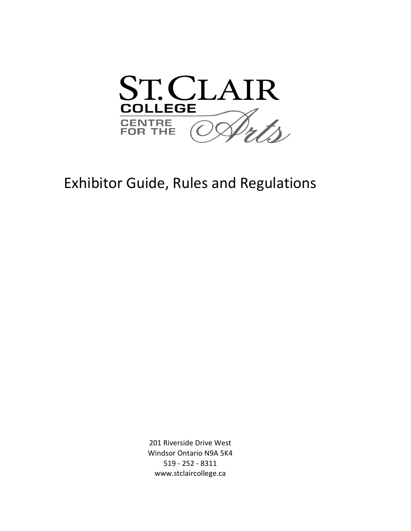

# Exhibitor Guide, Rules and Regulations

www.stclaircollege.ca 201 Riverside Drive West Windsor Ontario N9A 5K4 519 - 252 - 8311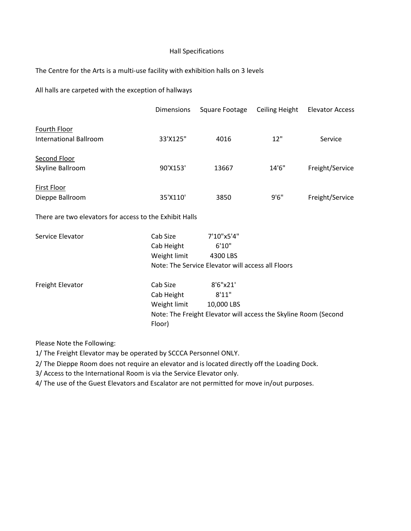### Hall Specifications

The Centre for the Arts is a multi-use facility with exhibition halls on 3 levels

All halls are carpeted with the exception of hallways

|                                        | <b>Dimensions</b> | Square Footage | Ceiling Height | <b>Elevator Access</b> |
|----------------------------------------|-------------------|----------------|----------------|------------------------|
| Fourth Floor<br>International Ballroom | 33'X125"          | 4016           | 12"            | Service                |
| Second Floor<br>Skyline Ballroom       | 90'X153'          | 13667          | 14'6''         | Freight/Service        |
| First Floor<br>Dieppe Ballroom         | 35'X110'          | 3850           | 9'6''          | Freight/Service        |

There are two elevators for access to the Exhibit Halls

| Service Elevator | Cab Size                                                        | 7'10"x5'4" |
|------------------|-----------------------------------------------------------------|------------|
|                  | Cab Height                                                      | 6'10''     |
|                  | Weight limit                                                    | 4300 LBS   |
|                  | Note: The Service Elevator will access all Floors               |            |
| Freight Elevator | Cab Size                                                        | 8'6''x21'  |
|                  | Cab Height                                                      | 8'11"      |
|                  | Weight limit                                                    | 10,000 LBS |
|                  | Note: The Freight Elevator will access the Skyline Room (Second |            |
|                  | Floor)                                                          |            |

Please Note the Following:

1/ The Freight Elevator may be operated by SCCCA Personnel ONLY.

2/ The Dieppe Room does not require an elevator and is located directly off the Loading Dock.

3/ Access to the International Room is via the Service Elevator only.

4/ The use of the Guest Elevators and Escalator are not permitted for move in/out purposes.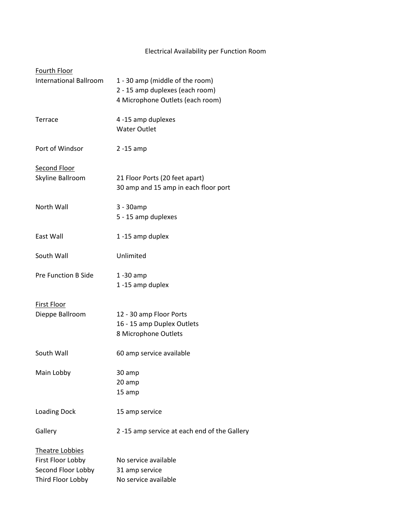## Electrical Availability per Function Room

| Fourth Floor                                                                           |                                                                                                        |
|----------------------------------------------------------------------------------------|--------------------------------------------------------------------------------------------------------|
| <b>International Ballroom</b>                                                          | 1 - 30 amp (middle of the room)<br>2 - 15 amp duplexes (each room)<br>4 Microphone Outlets (each room) |
| Terrace                                                                                | 4 -15 amp duplexes<br><b>Water Outlet</b>                                                              |
| Port of Windsor                                                                        | $2 - 15$ amp                                                                                           |
| <b>Second Floor</b><br>Skyline Ballroom                                                | 21 Floor Ports (20 feet apart)<br>30 amp and 15 amp in each floor port                                 |
| North Wall                                                                             | 3 - 30amp<br>5 - 15 amp duplexes                                                                       |
| East Wall                                                                              | 1-15 amp duplex                                                                                        |
| South Wall                                                                             | Unlimited                                                                                              |
| <b>Pre Function B Side</b>                                                             | $1 - 30$ amp<br>1-15 amp duplex                                                                        |
| <b>First Floor</b><br>Dieppe Ballroom                                                  | 12 - 30 amp Floor Ports<br>16 - 15 amp Duplex Outlets<br>8 Microphone Outlets                          |
| South Wall                                                                             | 60 amp service available                                                                               |
| Main Lobby                                                                             | 30 amp<br>20 amp<br>15 amp                                                                             |
| <b>Loading Dock</b>                                                                    | 15 amp service                                                                                         |
| Gallery                                                                                | 2-15 amp service at each end of the Gallery                                                            |
| <b>Theatre Lobbies</b><br>First Floor Lobby<br>Second Floor Lobby<br>Third Floor Lobby | No service available<br>31 amp service<br>No service available                                         |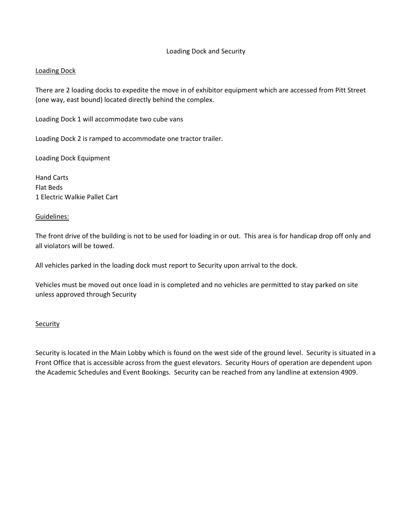## Loading Dock and Security

## Loading Dock

There are 2 loading docks to expedite the move in of exhibitor equipment which are accessed from Pitt Street (one way, east bound) located directly behind the complex.

Loading Dock 1 will accommodate two cube vans

Loading Dock 2 is ramped to accommodate one tractor trailer.

Loading Dock Equipment

Hand Carts Flat Beds 1 Electric Walkie Pallet Cart

### Guidelines:

The front drive of the building is not to be used for loading in or out. This area is for handicap drop off only and all violators will be towed.

All vehicles parked in the loading dock must report to Security upon arrival to the dock.

Vehicles must be moved out once load in is completed and no vehicles are permitted to stay parked on site unless approved through Security

#### **Security**

Security is located in the Main Lobby which is found on the west side of the ground level. Security is situated in a Front Office that is accessible across from the guest elevators. Security Hours of operation are dependent upon the Academic Schedules and Event Bookings. Security can be reached from any landline at extension 4909.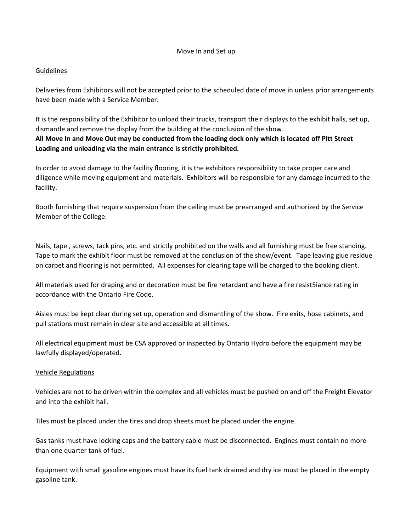#### Move In and Set up

### **Guidelines**

Deliveries from Exhibitors will not be accepted prior to the scheduled date of move in unless prior arrangements have been made with a Service Member.

It is the responsibility of the Exhibitor to unload their trucks, transport their displays to the exhibit halls, set up, dismantle and remove the display from the building at the conclusion of the show. **All Move In and Move Out may be conducted from the loading dock only which is located off Pitt Street Loading and unloading via the main entrance is strictly prohibited.**

In order to avoid damage to the facility flooring, it is the exhibitors responsibility to take proper care and diligence while moving equipment and materials. Exhibitors will be responsible for any damage incurred to the facility.

Booth furnishing that require suspension from the ceiling must be prearranged and authorized by the Service Member of the College.

Nails, tape , screws, tack pins, etc. and strictly prohibited on the walls and all furnishing must be free standing. Tape to mark the exhibit floor must be removed at the conclusion of the show/event. Tape leaving glue residue on carpet and flooring is not permitted. All expenses for clearing tape will be charged to the booking client.

All materials used for draping and or decoration must be fire retardant and have a fire resist5iance rating in accordance with the Ontario Fire Code.

Aisles must be kept clear during set up, operation and dismantling of the show. Fire exits, hose cabinets, and pull stations must remain in clear site and accessible at all times.

All electrical equipment must be CSA approved or inspected by Ontario Hydro before the equipment may be lawfully displayed/operated.

### Vehicle Regulations

Vehicles are not to be driven within the complex and all vehicles must be pushed on and off the Freight Elevator and into the exhibit hall.

Tiles must be placed under the tires and drop sheets must be placed under the engine.

Gas tanks must have locking caps and the battery cable must be disconnected. Engines must contain no more than one quarter tank of fuel.

Equipment with small gasoline engines must have its fuel tank drained and dry ice must be placed in the empty gasoline tank.